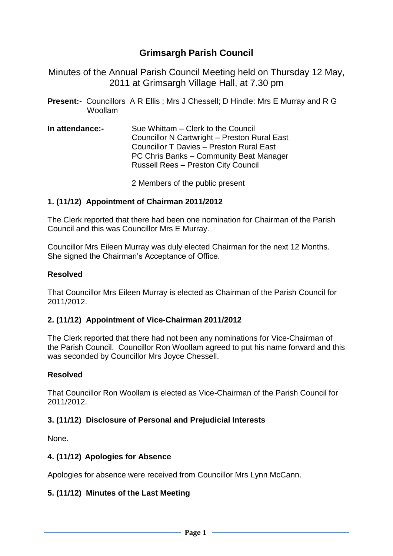# **Grimsargh Parish Council**

Minutes of the Annual Parish Council Meeting held on Thursday 12 May, 2011 at Grimsargh Village Hall, at 7.30 pm

- **Present:-** Councillors A R Ellis ; Mrs J Chessell; D Hindle: Mrs E Murray and R G Woollam
- **In attendance:-** Sue Whittam Clerk to the Council Councillor N Cartwright – Preston Rural East Councillor T Davies – Preston Rural East PC Chris Banks – Community Beat Manager Russell Rees – Preston City Council

2 Members of the public present

### **1. (11/12) Appointment of Chairman 2011/2012**

The Clerk reported that there had been one nomination for Chairman of the Parish Council and this was Councillor Mrs E Murray.

Councillor Mrs Eileen Murray was duly elected Chairman for the next 12 Months. She signed the Chairman's Acceptance of Office.

#### **Resolved**

That Councillor Mrs Eileen Murray is elected as Chairman of the Parish Council for 2011/2012.

### **2. (11/12) Appointment of Vice-Chairman 2011/2012**

The Clerk reported that there had not been any nominations for Vice-Chairman of the Parish Council. Councillor Ron Woollam agreed to put his name forward and this was seconded by Councillor Mrs Joyce Chessell.

### **Resolved**

That Councillor Ron Woollam is elected as Vice-Chairman of the Parish Council for 2011/2012.

#### **3. (11/12) Disclosure of Personal and Prejudicial Interests**

None.

#### **4. (11/12) Apologies for Absence**

Apologies for absence were received from Councillor Mrs Lynn McCann.

#### **5. (11/12) Minutes of the Last Meeting**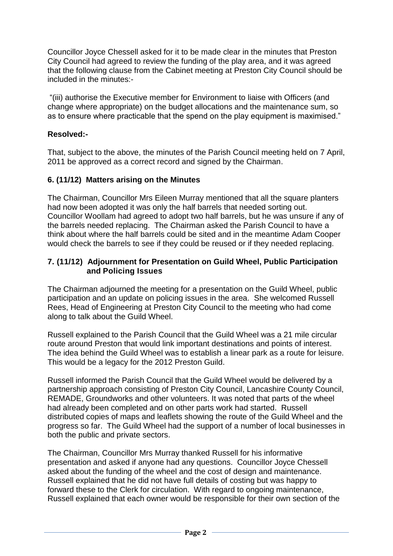Councillor Joyce Chessell asked for it to be made clear in the minutes that Preston City Council had agreed to review the funding of the play area, and it was agreed that the following clause from the Cabinet meeting at Preston City Council should be included in the minutes:-

"(iii) authorise the Executive member for Environment to liaise with Officers (and change where appropriate) on the budget allocations and the maintenance sum, so as to ensure where practicable that the spend on the play equipment is maximised."

### **Resolved:-**

That, subject to the above, the minutes of the Parish Council meeting held on 7 April, 2011 be approved as a correct record and signed by the Chairman.

#### **6. (11/12) Matters arising on the Minutes**

The Chairman, Councillor Mrs Eileen Murray mentioned that all the square planters had now been adopted it was only the half barrels that needed sorting out. Councillor Woollam had agreed to adopt two half barrels, but he was unsure if any of the barrels needed replacing. The Chairman asked the Parish Council to have a think about where the half barrels could be sited and in the meantime Adam Cooper would check the barrels to see if they could be reused or if they needed replacing.

#### **7. (11/12) Adjournment for Presentation on Guild Wheel, Public Participation and Policing Issues**

The Chairman adjourned the meeting for a presentation on the Guild Wheel, public participation and an update on policing issues in the area. She welcomed Russell Rees, Head of Engineering at Preston City Council to the meeting who had come along to talk about the Guild Wheel.

Russell explained to the Parish Council that the Guild Wheel was a 21 mile circular route around Preston that would link important destinations and points of interest. The idea behind the Guild Wheel was to establish a linear park as a route for leisure. This would be a legacy for the 2012 Preston Guild.

Russell informed the Parish Council that the Guild Wheel would be delivered by a partnership approach consisting of Preston City Council, Lancashire County Council, REMADE, Groundworks and other volunteers. It was noted that parts of the wheel had already been completed and on other parts work had started. Russell distributed copies of maps and leaflets showing the route of the Guild Wheel and the progress so far. The Guild Wheel had the support of a number of local businesses in both the public and private sectors.

The Chairman, Councillor Mrs Murray thanked Russell for his informative presentation and asked if anyone had any questions. Councillor Joyce Chessell asked about the funding of the wheel and the cost of design and maintenance. Russell explained that he did not have full details of costing but was happy to forward these to the Clerk for circulation. With regard to ongoing maintenance, Russell explained that each owner would be responsible for their own section of the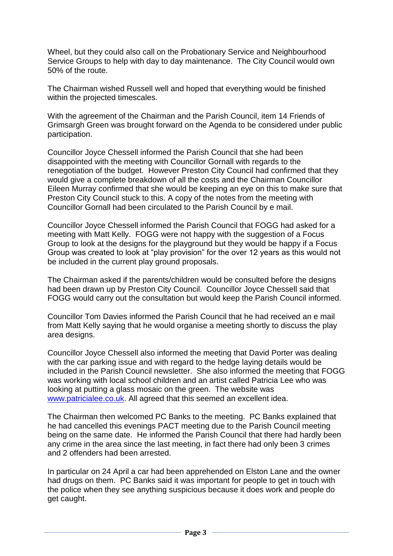Wheel, but they could also call on the Probationary Service and Neighbourhood Service Groups to help with day to day maintenance. The City Council would own 50% of the route.

The Chairman wished Russell well and hoped that everything would be finished within the projected timescales.

With the agreement of the Chairman and the Parish Council, item 14 Friends of Grimsargh Green was brought forward on the Agenda to be considered under public participation.

Councillor Joyce Chessell informed the Parish Council that she had been disappointed with the meeting with Councillor Gornall with regards to the renegotiation of the budget. However Preston City Council had confirmed that they would give a complete breakdown of all the costs and the Chairman Councillor Eileen Murray confirmed that she would be keeping an eye on this to make sure that Preston City Council stuck to this. A copy of the notes from the meeting with Councillor Gornall had been circulated to the Parish Council by e mail.

Councillor Joyce Chessell informed the Parish Council that FOGG had asked for a meeting with Matt Kelly. FOGG were not happy with the suggestion of a Focus Group to look at the designs for the playground but they would be happy if a Focus Group was created to look at "play provision" for the over 12 years as this would not be included in the current play ground proposals.

The Chairman asked if the parents/children would be consulted before the designs had been drawn up by Preston City Council. Councillor Joyce Chessell said that FOGG would carry out the consultation but would keep the Parish Council informed.

Councillor Tom Davies informed the Parish Council that he had received an e mail from Matt Kelly saying that he would organise a meeting shortly to discuss the play area designs.

Councillor Joyce Chessell also informed the meeting that David Porter was dealing with the car parking issue and with regard to the hedge laying details would be included in the Parish Council newsletter. She also informed the meeting that FOGG was working with local school children and an artist called Patricia Lee who was looking at putting a glass mosaic on the green. The website was [www.patricialee.co.uk.](http://www.patricialee.co.uk/) All agreed that this seemed an excellent idea.

The Chairman then welcomed PC Banks to the meeting. PC Banks explained that he had cancelled this evenings PACT meeting due to the Parish Council meeting being on the same date. He informed the Parish Council that there had hardly been any crime in the area since the last meeting, in fact there had only been 3 crimes and 2 offenders had been arrested.

In particular on 24 April a car had been apprehended on Elston Lane and the owner had drugs on them. PC Banks said it was important for people to get in touch with the police when they see anything suspicious because it does work and people do get caught.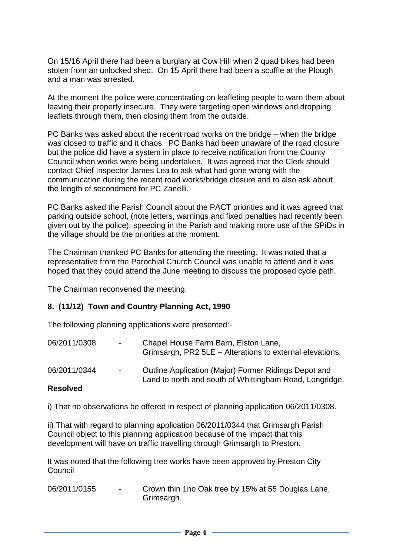On 15/16 April there had been a burglary at Cow Hill when 2 quad bikes had been stolen from an unlocked shed. On 15 April there had been a scuffle at the Plough and a man was arrested.

At the moment the police were concentrating on leafleting people to warn them about leaving their property insecure. They were targeting open windows and dropping leaflets through them, then closing them from the outside.

PC Banks was asked about the recent road works on the bridge – when the bridge was closed to traffic and it chaos. PC Banks had been unaware of the road closure but the police did have a system in place to receive notification from the County Council when works were being undertaken. It was agreed that the Clerk should contact Chief Inspector James Lea to ask what had gone wrong with the communication during the recent road works/bridge closure and to also ask about the length of secondment for PC Zanelli.

PC Banks asked the Parish Council about the PACT priorities and it was agreed that parking outside school, (note letters, warnings and fixed penalties had recently been given out by the police); speeding in the Parish and making more use of the SPiDs in the village should be the priorities at the moment.

The Chairman thanked PC Banks for attending the meeting. It was noted that a representative from the Parochial Church Council was unable to attend and it was hoped that they could attend the June meeting to discuss the proposed cycle path.

The Chairman reconvened the meeting.

#### **8. (11/12) Town and Country Planning Act, 1990**

The following planning applications were presented:-

| <b>Deselved</b> |        |                                                                                                                 |
|-----------------|--------|-----------------------------------------------------------------------------------------------------------------|
| 06/2011/0344    | $\sim$ | Outline Application (Major) Former Ridings Depot and<br>Land to north and south of Whittingham Road, Longridge. |
| 06/2011/0308    | $\sim$ | Chapel House Farm Barn, Elston Lane,<br>Grimsargh, PR2 5LE - Alterations to external elevations.                |

#### **Resolved**

i) That no observations be offered in respect of planning application 06/2011/0308.

ii) That with regard to planning application 06/2011/0344 that Grimsargh Parish Council object to this planning application because of the impact that this development will have on traffic travelling through Grimsargh to Preston.

It was noted that the following tree works have been approved by Preston City **Council** 

06/2011/0155 - Crown thin 1no Oak tree by 15% at 55 Douglas Lane, Grimsargh.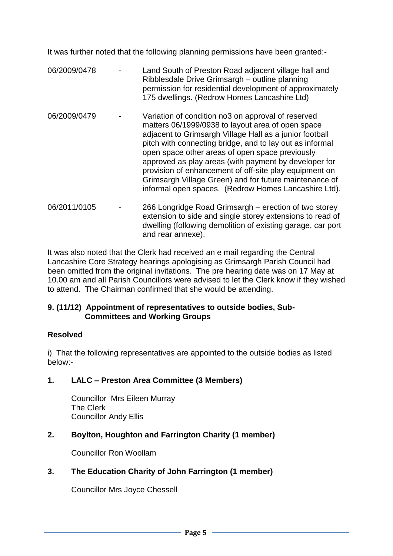It was further noted that the following planning permissions have been granted:-

- 06/2009/0478 Land South of Preston Road adjacent village hall and Ribblesdale Drive Grimsargh – outline planning permission for residential development of approximately 175 dwellings. (Redrow Homes Lancashire Ltd) 06/2009/0479 - Variation of condition no3 on approval of reserved matters 06/1999/0938 to layout area of open space adjacent to Grimsargh Village Hall as a junior football pitch with connecting bridge, and to lay out as informal open space other areas of open space previously approved as play areas (with payment by developer for provision of enhancement of off-site play equipment on Grimsargh Village Green) and for future maintenance of informal open spaces. (Redrow Homes Lancashire Ltd). 06/2011/0105 - 266 Longridge Road Grimsargh – erection of two storey
- extension to side and single storey extensions to read of dwelling (following demolition of existing garage, car port and rear annexe).

It was also noted that the Clerk had received an e mail regarding the Central Lancashire Core Strategy hearings apologising as Grimsargh Parish Council had been omitted from the original invitations. The pre hearing date was on 17 May at 10.00 am and all Parish Councillors were advised to let the Clerk know if they wished to attend. The Chairman confirmed that she would be attending.

## **9. (11/12) Appointment of representatives to outside bodies, Sub- Committees and Working Groups**

## **Resolved**

i) That the following representatives are appointed to the outside bodies as listed below:-

## **1. LALC – Preston Area Committee (3 Members)**

Councillor Mrs Eileen Murray The Clerk Councillor Andy Ellis

## **2. Boylton, Houghton and Farrington Charity (1 member)**

Councillor Ron Woollam

# **3. The Education Charity of John Farrington (1 member)**

Councillor Mrs Joyce Chessell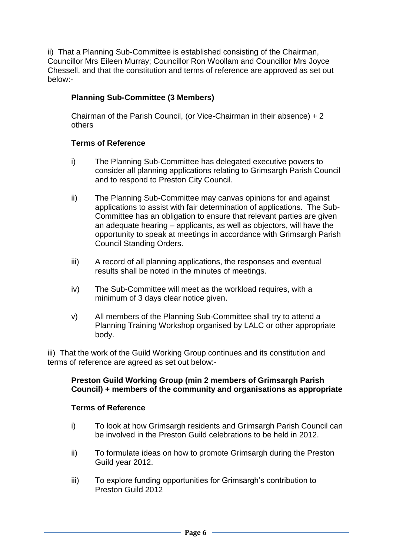ii) That a Planning Sub-Committee is established consisting of the Chairman, Councillor Mrs Eileen Murray; Councillor Ron Woollam and Councillor Mrs Joyce Chessell, and that the constitution and terms of reference are approved as set out below:-

## **Planning Sub-Committee (3 Members)**

Chairman of the Parish Council, (or Vice-Chairman in their absence) + 2 others

### **Terms of Reference**

- i) The Planning Sub-Committee has delegated executive powers to consider all planning applications relating to Grimsargh Parish Council and to respond to Preston City Council.
- ii) The Planning Sub-Committee may canvas opinions for and against applications to assist with fair determination of applications. The Sub-Committee has an obligation to ensure that relevant parties are given an adequate hearing – applicants, as well as objectors, will have the opportunity to speak at meetings in accordance with Grimsargh Parish Council Standing Orders.
- iii) A record of all planning applications, the responses and eventual results shall be noted in the minutes of meetings.
- iv) The Sub-Committee will meet as the workload requires, with a minimum of 3 days clear notice given.
- v) All members of the Planning Sub-Committee shall try to attend a Planning Training Workshop organised by LALC or other appropriate body.

iii) That the work of the Guild Working Group continues and its constitution and terms of reference are agreed as set out below:-

### **Preston Guild Working Group (min 2 members of Grimsargh Parish Council) + members of the community and organisations as appropriate**

#### **Terms of Reference**

- i) To look at how Grimsargh residents and Grimsargh Parish Council can be involved in the Preston Guild celebrations to be held in 2012.
- ii) To formulate ideas on how to promote Grimsargh during the Preston Guild year 2012.
- iii) To explore funding opportunities for Grimsargh's contribution to Preston Guild 2012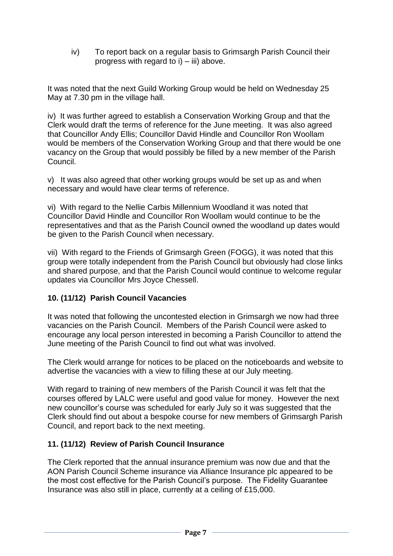iv) To report back on a regular basis to Grimsargh Parish Council their progress with regard to  $i$ ) – iii) above.

It was noted that the next Guild Working Group would be held on Wednesday 25 May at 7.30 pm in the village hall.

iv) It was further agreed to establish a Conservation Working Group and that the Clerk would draft the terms of reference for the June meeting. It was also agreed that Councillor Andy Ellis; Councillor David Hindle and Councillor Ron Woollam would be members of the Conservation Working Group and that there would be one vacancy on the Group that would possibly be filled by a new member of the Parish Council.

v) It was also agreed that other working groups would be set up as and when necessary and would have clear terms of reference.

vi) With regard to the Nellie Carbis Millennium Woodland it was noted that Councillor David Hindle and Councillor Ron Woollam would continue to be the representatives and that as the Parish Council owned the woodland up dates would be given to the Parish Council when necessary.

vii) With regard to the Friends of Grimsargh Green (FOGG), it was noted that this group were totally independent from the Parish Council but obviously had close links and shared purpose, and that the Parish Council would continue to welcome regular updates via Councillor Mrs Joyce Chessell.

## **10. (11/12) Parish Council Vacancies**

It was noted that following the uncontested election in Grimsargh we now had three vacancies on the Parish Council. Members of the Parish Council were asked to encourage any local person interested in becoming a Parish Councillor to attend the June meeting of the Parish Council to find out what was involved.

The Clerk would arrange for notices to be placed on the noticeboards and website to advertise the vacancies with a view to filling these at our July meeting.

With regard to training of new members of the Parish Council it was felt that the courses offered by LALC were useful and good value for money. However the next new councillor's course was scheduled for early July so it was suggested that the Clerk should find out about a bespoke course for new members of Grimsargh Parish Council, and report back to the next meeting.

### **11. (11/12) Review of Parish Council Insurance**

The Clerk reported that the annual insurance premium was now due and that the AON Parish Council Scheme insurance via Alliance Insurance plc appeared to be the most cost effective for the Parish Council's purpose. The Fidelity Guarantee Insurance was also still in place, currently at a ceiling of £15,000.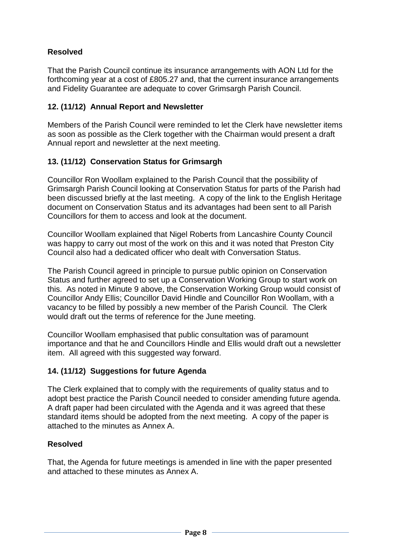## **Resolved**

That the Parish Council continue its insurance arrangements with AON Ltd for the forthcoming year at a cost of £805.27 and, that the current insurance arrangements and Fidelity Guarantee are adequate to cover Grimsargh Parish Council.

## **12. (11/12) Annual Report and Newsletter**

Members of the Parish Council were reminded to let the Clerk have newsletter items as soon as possible as the Clerk together with the Chairman would present a draft Annual report and newsletter at the next meeting.

## **13. (11/12) Conservation Status for Grimsargh**

Councillor Ron Woollam explained to the Parish Council that the possibility of Grimsargh Parish Council looking at Conservation Status for parts of the Parish had been discussed briefly at the last meeting. A copy of the link to the English Heritage document on Conservation Status and its advantages had been sent to all Parish Councillors for them to access and look at the document.

Councillor Woollam explained that Nigel Roberts from Lancashire County Council was happy to carry out most of the work on this and it was noted that Preston City Council also had a dedicated officer who dealt with Conversation Status.

The Parish Council agreed in principle to pursue public opinion on Conservation Status and further agreed to set up a Conservation Working Group to start work on this. As noted in Minute 9 above, the Conservation Working Group would consist of Councillor Andy Ellis; Councillor David Hindle and Councillor Ron Woollam, with a vacancy to be filled by possibly a new member of the Parish Council. The Clerk would draft out the terms of reference for the June meeting.

Councillor Woollam emphasised that public consultation was of paramount importance and that he and Councillors Hindle and Ellis would draft out a newsletter item. All agreed with this suggested way forward.

### **14. (11/12) Suggestions for future Agenda**

The Clerk explained that to comply with the requirements of quality status and to adopt best practice the Parish Council needed to consider amending future agenda. A draft paper had been circulated with the Agenda and it was agreed that these standard items should be adopted from the next meeting. A copy of the paper is attached to the minutes as Annex A.

### **Resolved**

That, the Agenda for future meetings is amended in line with the paper presented and attached to these minutes as Annex A.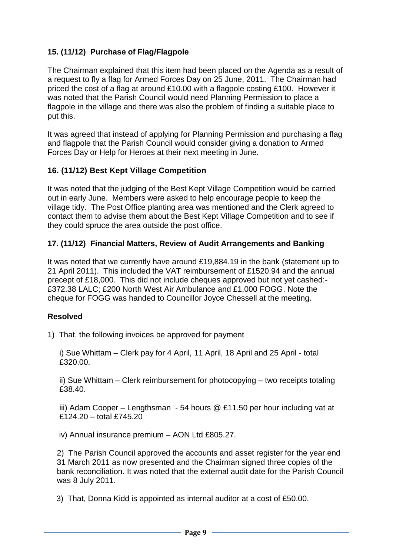## **15. (11/12) Purchase of Flag/Flagpole**

The Chairman explained that this item had been placed on the Agenda as a result of a request to fly a flag for Armed Forces Day on 25 June, 2011. The Chairman had priced the cost of a flag at around £10.00 with a flagpole costing £100. However it was noted that the Parish Council would need Planning Permission to place a flagpole in the village and there was also the problem of finding a suitable place to put this.

It was agreed that instead of applying for Planning Permission and purchasing a flag and flagpole that the Parish Council would consider giving a donation to Armed Forces Day or Help for Heroes at their next meeting in June.

## **16. (11/12) Best Kept Village Competition**

It was noted that the judging of the Best Kept Village Competition would be carried out in early June. Members were asked to help encourage people to keep the village tidy. The Post Office planting area was mentioned and the Clerk agreed to contact them to advise them about the Best Kept Village Competition and to see if they could spruce the area outside the post office.

### **17. (11/12) Financial Matters, Review of Audit Arrangements and Banking**

It was noted that we currently have around £19,884.19 in the bank (statement up to 21 April 2011). This included the VAT reimbursement of £1520.94 and the annual precept of £18,000. This did not include cheques approved but not yet cashed:- £372.38 LALC; £200 North West Air Ambulance and £1,000 FOGG. Note the cheque for FOGG was handed to Councillor Joyce Chessell at the meeting.

### **Resolved**

1) That, the following invoices be approved for payment

i) Sue Whittam – Clerk pay for 4 April, 11 April, 18 April and 25 April - total £320.00.

ii) Sue Whittam – Clerk reimbursement for photocopying – two receipts totaling £38.40.

iii) Adam Cooper – Lengthsman - 54 hours @ £11.50 per hour including vat at  $£124.20 - total F745.20$ 

iv) Annual insurance premium – AON Ltd £805.27.

2) The Parish Council approved the accounts and asset register for the year end 31 March 2011 as now presented and the Chairman signed three copies of the bank reconciliation. It was noted that the external audit date for the Parish Council was 8 July 2011.

3) That, Donna Kidd is appointed as internal auditor at a cost of £50.00.